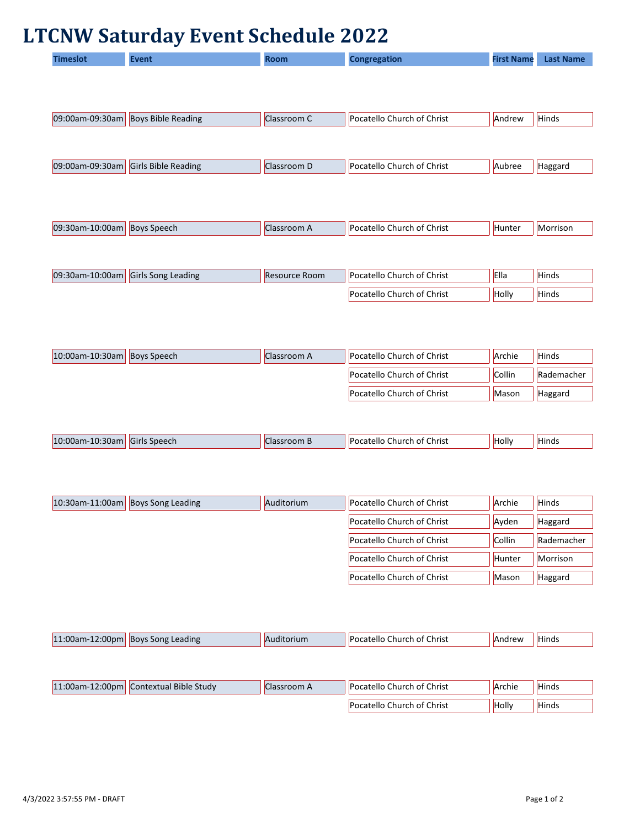## **LTCNW Saturday Event Schedule 2022**

| <b>Timeslot</b> | <b>Event</b>               | <b>Room</b>          | <b>Congregation</b>        | <b>First Name</b> | <b>Last Name</b> |
|-----------------|----------------------------|----------------------|----------------------------|-------------------|------------------|
|                 |                            |                      |                            |                   |                  |
|                 |                            |                      |                            |                   |                  |
|                 |                            |                      | Pocatello Church of Christ |                   |                  |
| 09:00am-09:30am | <b>Boys Bible Reading</b>  | Classroom C          |                            | Andrew            | Hinds            |
|                 |                            |                      |                            |                   |                  |
| 09:00am-09:30am | <b>Girls Bible Reading</b> | Classroom D          | Pocatello Church of Christ | Aubree            | Haggard          |
|                 |                            |                      |                            |                   |                  |
|                 |                            |                      |                            |                   |                  |
| 09:30am-10:00am | <b>Boys Speech</b>         | Classroom A          | Pocatello Church of Christ | Hunter            | Morrison         |
|                 |                            |                      |                            |                   |                  |
|                 |                            |                      |                            |                   |                  |
| 09:30am-10:00am | Girls Song Leading         | <b>Resource Room</b> | Pocatello Church of Christ | Ella              | Hinds            |
|                 |                            |                      | Pocatello Church of Christ | Holly             | Hinds            |
|                 |                            |                      |                            |                   |                  |
|                 |                            |                      |                            |                   |                  |
|                 |                            |                      |                            |                   |                  |
| 10:00am-10:30am | <b>Boys Speech</b>         | Classroom A          | Pocatello Church of Christ | Archie            | Hinds            |
|                 |                            |                      | Pocatello Church of Christ | Collin            | Rademacher       |
|                 |                            |                      | Pocatello Church of Christ | Mason             | Haggard          |
|                 |                            |                      |                            |                   |                  |
| 10:00am-10:30am | Girls Speech               | Classroom B          | Pocatello Church of Christ | Holly             | Hinds            |
|                 |                            |                      |                            |                   |                  |
|                 |                            |                      |                            |                   |                  |
|                 |                            |                      |                            |                   |                  |
| 10:30am-11:00am | <b>Boys Song Leading</b>   | Auditorium           | Pocatello Church of Christ | Archie            | <b>Hinds</b>     |
|                 |                            |                      | Pocatello Church of Christ | Ayden             | Haggard          |
|                 |                            |                      | Pocatello Church of Christ | Collin            | Rademacher       |
|                 |                            |                      | Pocatello Church of Christ | Hunter            | Morrison         |

| 11:00am-12:00pm Boys Song Leading |                                        | Auditorium  | <b>Pocatello Church of Christ</b> | Andrew | <b>Hinds</b> |
|-----------------------------------|----------------------------------------|-------------|-----------------------------------|--------|--------------|
|                                   |                                        |             |                                   |        |              |
|                                   |                                        |             |                                   |        |              |
|                                   | 11:00am-12:00pm Contextual Bible Study | Classroom A | <b>Pocatello Church of Christ</b> | Archie | <b>Hinds</b> |
|                                   |                                        |             | <b>Pocatello Church of Christ</b> | Holly  | <b>Hinds</b> |

Pocatello Church of Christ  $\vert$  Mason  $\vert$  Haggard